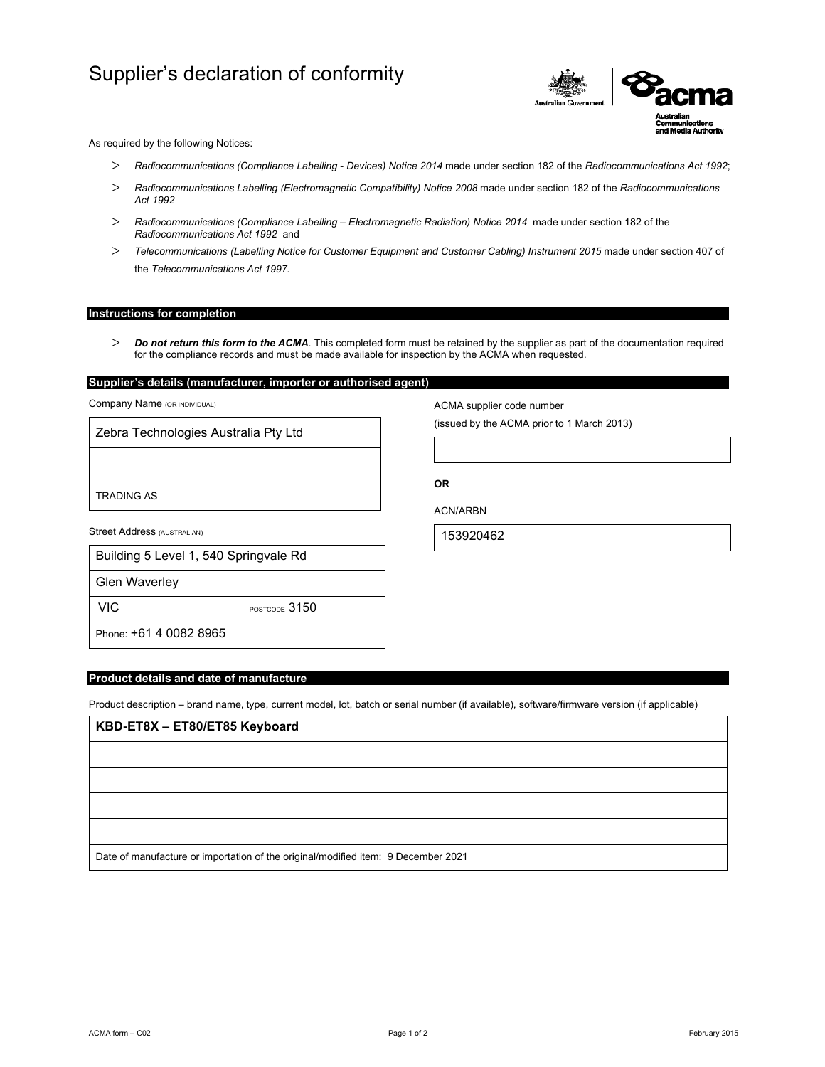## Supplier's declaration of conformity



As required by the following Notices:

- *Radiocommunications (Compliance Labelling Devices) Notice 2014* made under section 182 of the *Radiocommunications Act 1992*;
- *Radiocommunications Labelling (Electromagnetic Compatibility) Notice 2008* made under section 182 of the *Radiocommunications Act 1992*
- *Radiocommunications (Compliance Labelling Electromagnetic Radiation) Notice 2014* made under section 182 of the *Radiocommunications Act 1992* and
- *Telecommunications (Labelling Notice for Customer Equipment and Customer Cabling) Instrument 2015* made under section 407 of the *Telecommunications Act 1997*.

#### **Instructions for completion**

 *Do not return this form to the ACMA*. This completed form must be retained by the supplier as part of the documentation required for the compliance records and must be made available for inspection by the ACMA when requested.

### **Supplier's details (manufacturer, importer or authorised agent)**

Company Name (OR INDIVIDUAL)

Zebra Technologies Australia Pty Ltd

TRADING AS

Street Address (AUSTRALIAN)

| Building 5 Level 1, 540 Springvale Rd |  |
|---------------------------------------|--|
|---------------------------------------|--|

Glen Waverley

VIC POSTCODE 3150

Phone: +61 4 0082 8965

#### **Product details and date of manufacture**

Product description – brand name, type, current model, lot, batch or serial number (if available), software/firmware version (if applicable)

# **KBD-ET8X – ET80/ET85 Keyboard** Date of manufacture or importation of the original/modified item: 9 December 2021

ACMA supplier code number

(issued by the ACMA prior to 1 March 2013)

**OR** 

ACN/ARBN

153920462